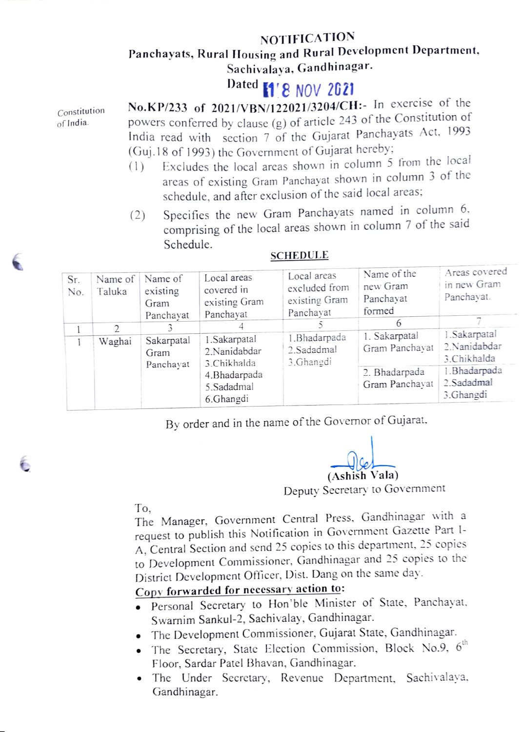### NOTIFICATION

## Panchayats, Rural Housing and Rural Development Department, Sachivalaya, Gandhinagar.

# Dated **1'8 NOV 2621**

of India.

 $Construction$  No.KP/233 of 2021/VBN/122021/3204/CH:- In exercise of the powers conferred by clause (g) of article 243 of the Constitution of India read with section 7 of the Gujarat Panchayats Act, 1993 (Guj.18 of 1993) the Government of Gujarat hereby;

- (1) Excludes the local areas shown in column 5 from the local areas of existing Gram Panchayat shown in column 3 of the schedule, and after exclusion of the said local areas;
- Specifies the new Gram Panchayats named in column 6. comprising of the local areas shown in column 7 of the said Schedule. (2)

| Sr.<br>No. | Name of<br>Taluka | Name of<br>existing<br>Gram<br>Panchayat | Local areas<br>covered in<br>existing Gram<br>Panchayat                                 | Local areas<br>excluded from<br>existing Gram<br>Panchayat | Name of the<br>new Gram<br>Panchayat<br>formed<br>b | Areas covered<br>in new Gram<br>Panchayat.    |
|------------|-------------------|------------------------------------------|-----------------------------------------------------------------------------------------|------------------------------------------------------------|-----------------------------------------------------|-----------------------------------------------|
|            | 2<br>Waghai       | Sakarpatal<br>Gram<br>Panchayat          | 1. Sakarpatal<br>2.Nanidabdar<br>3.Chikhalda<br>4.Bhadarpada<br>5.Sadadmal<br>6.Ghangdi | 1. Bhadarpada<br>2. Sadadmal<br>3. Ghangdi                 | 1. Sakarpatal<br>Gram Panchayat                     | 1. Sakarpatal<br>2. Nanidabdar<br>3.Chikhalda |
|            |                   |                                          |                                                                                         |                                                            | 2. Bhadarpada<br>Gram Panchayat                     | 1. Bhadarpada<br>2. Sadadmal<br>3.Ghangdi     |

#### **SCHEDULE**

By order and in the name of the Governor of Gujarat.

 $\left(\frac{\partial u}{\partial \theta}\right)$ 

Deputy Secretary to Government

To, The Manager, Government Central Press, Gandhinagar with a request to publish this Notification in Government Gazette Part 1- A, Central Section and send 25 copies to this department, 25 copies to Development Commissioner, Gandhinagar and 25 copies to the District Development Officer, Dist. Dang on the same day.

## Copy forwarded for necessary action to:

- Personal Secretary to Hon'ble Minister of State, Panchayat. Swarnim Sankul-2, Sachivalay, Gandhinagar.
- .The Development Commissioner, Gujarat State, Gandhinagar.
- The Secretary, State Election Commission, Block No.9,  $6<sup>th</sup>$ Floor, Sardar Patel Bhavan, Gandhinagar.
- The Under Secretary, Revenue Department, Sachivalaya, Gandhinagar.